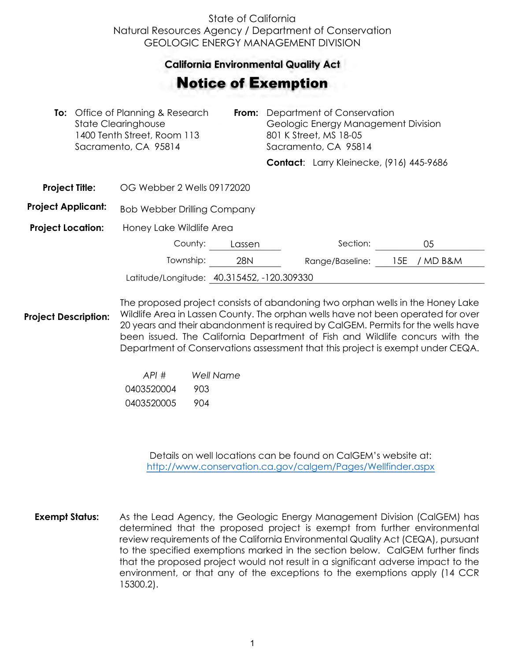## State of California Natural Resources Agency / Department of Conservation GEOLOGIC ENERGY MANAGEMENT DIVISION

## **California Environmental Quality Act**  California Environmental Quality Act

## Notice of Exemption **otice of Exemption**

|                           | <b>To:</b> Office of Planning & Research<br>From:<br><b>State Clearinghouse</b><br>1400 Tenth Street, Room 113<br>Sacramento, CA 95814 |                                            | Department of Conservation<br>Geologic Energy Management Division<br>801 K Street, MS 18-05<br>Sacramento, CA 95814 |  |                                          |     |        |  |
|---------------------------|----------------------------------------------------------------------------------------------------------------------------------------|--------------------------------------------|---------------------------------------------------------------------------------------------------------------------|--|------------------------------------------|-----|--------|--|
|                           |                                                                                                                                        |                                            |                                                                                                                     |  | Contact: Larry Kleinecke, (916) 445-9686 |     |        |  |
| <b>Project Title:</b>     |                                                                                                                                        | OG Webber 2 Wells 09172020                 |                                                                                                                     |  |                                          |     |        |  |
| <b>Project Applicant:</b> |                                                                                                                                        | <b>Bob Webber Drilling Company</b>         |                                                                                                                     |  |                                          |     |        |  |
| <b>Project Location:</b>  |                                                                                                                                        | Honey Lake Wildlife Area                   |                                                                                                                     |  |                                          |     |        |  |
|                           |                                                                                                                                        | County:                                    | Lassen                                                                                                              |  | Section:                                 |     | 05     |  |
|                           |                                                                                                                                        | Township:                                  | <b>28N</b>                                                                                                          |  | Range/Baseline:                          | 15E | MD B&M |  |
|                           |                                                                                                                                        | Latitude/Longitude: 40.315452, -120.309330 |                                                                                                                     |  |                                          |     |        |  |
|                           |                                                                                                                                        |                                            |                                                                                                                     |  |                                          |     |        |  |

**Project Description:** The proposed project consists of abandoning two orphan wells in the Honey Lake Wildlife Area in Lassen County. The orphan wells have not been operated for over 20 years and their abandonment is required by CalGEM. Permits for the wells have been issued. The California Department of Fish and Wildlife concurs with the Department of Conservations assessment that this project is exempt under CEQA.

| API#       | Well Name |
|------------|-----------|
| 0403520004 | 903       |
| 0403520005 | 904       |

Details on well locations can be found on CalGEM's website at: <http://www.conservation.ca.gov/calgem/Pages/Wellfinder.aspx>

**Exempt Status:** As the Lead Agency, the Geologic Energy Management Division (CalGEM) has determined that the proposed project is exempt from further environmental review requirements of the California Environmental Quality Act (CEQA), pursuant to the specified exemptions marked in the section below. CalGEM further finds that the proposed project would not result in a significant adverse impact to the environment, or that any of the exceptions to the exemptions apply (14 CCR 15300.2).